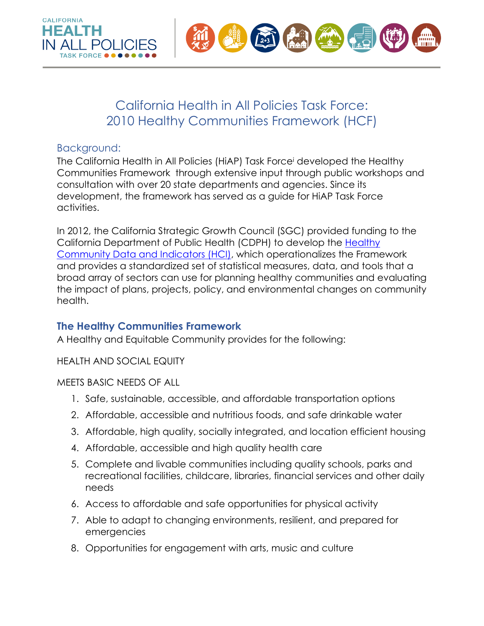

# California Health in All Policies Task Force: 2010 Healthy Communities Framework (HCF)

#### Background:

The California [Health in All Policies \(HiAP\) Task Force](http://sgc.ca.gov/programs/hiap/)<sup>i</sup> developed the Healthy Communities Framework through extensive input through public workshops and consultation with over 20 state departments and agencies. Since its development, the framework has served as a guide for HiAP Task Force activities.

In 2012, the California Strategic Growth Council (SGC) provided funding to the California Department of Public Health (CDPH) to develop the [Healthy](https://www.cdph.ca.gov/Programs/OHE/Pages/HCI-Search.aspx) [Community Data and Indicators \(HCI\),](https://www.cdph.ca.gov/Programs/OHE/Pages/HCI-Search.aspx) which operationalizes the Framework and provides a standardized set of statistical measures, data, and tools that a broad array of sectors can use for planning healthy communities and evaluating the impact of plans, projects, policy, and environmental changes on community health.

### **The Healthy Communities Framework**

A Healthy and Equitable Community provides for the following:

#### HEALTH AND SOCIAL EQUITY

MEETS BASIC NEEDS OF ALL

- 1. Safe, sustainable, accessible, and affordable transportation options
- 2. Affordable, accessible and nutritious foods, and safe drinkable water
- 3. Affordable, high quality, socially integrated, and location efficient housing
- 4. Affordable, accessible and high quality health care
- 5. Complete and livable communities including quality schools, parks and recreational facilities, childcare, libraries, financial services and other daily needs
- 6. Access to affordable and safe opportunities for physical activity
- 7. Able to adapt to changing environments, resilient, and prepared for emergencies
- 8. Opportunities for engagement with arts, music and culture